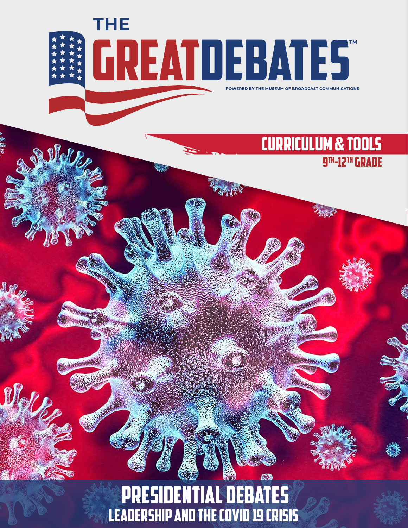

## Presidential debates Leadership and the COVID 19 Crisis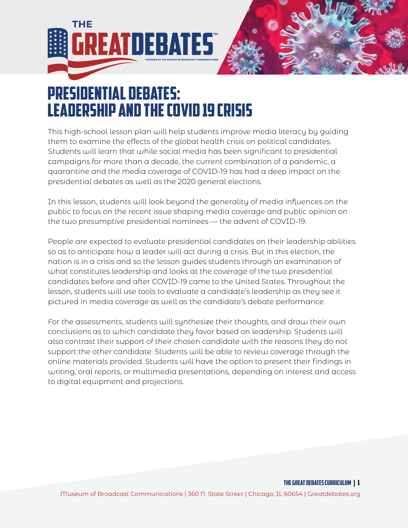



## Presidential debates: Leadership and the COVID 19 Crisis

This high-school lesson plan will help students improve media literacy by guiding them to examine the effects of the global health crisis on political candidates. Students will learn that while social media has been significant to presidential campaigns for more than a decade, the current combination of a pandemic, a quarantine and the media coverage of COVID-19 has had a deep impact on the presidential debates as well as the 2020 general elections.

In this lesson, students will look beyond the generality of media influences on the public to focus on the recent issue shaping media coverage and public opinion on the two presumptive presidential nominees — the advent of COVID-19.

People are expected to evaluate presidential candidates on their leadership abilities so as to anticipate how a leader will act during a crisis. But in this election, the nation is in a crisis and so the lesson guides students through an examination of what constitutes leadership and looks at the coverage of the two presidential candidates before and after COVID-19 came to the United States. Throughout the lesson, students will use tools to evaluate a candidate's leadership as they see it pictured in media coverage as well as the candidate's debate performance.

For the assessments, students will synthesize their thoughts, and draw their own conclusions as to which candidate they favor based on leadership. Students will also contrast their support of their chosen candidate with the reasons they do not support the other candidate. Students will be able to review coverage through the online materials provided. Students will have the option to present their findings in writing, oral reports, or multimedia presentations, depending on interest and access to digital equipment and projections.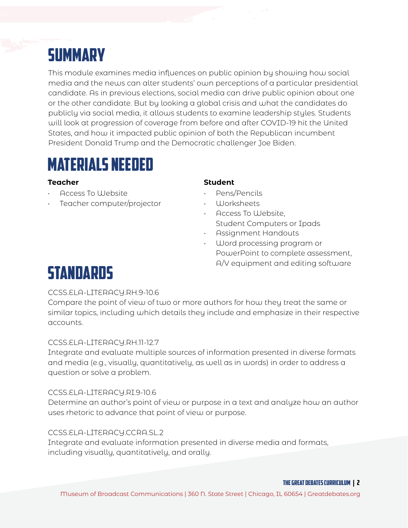# **SUMMARY**

This module examines media influences on public opinion by showing how social media and the news can alter students' own perceptions of a particular presidential candidate. As in previous elections, social media can drive public opinion about one or the other candidate. But by looking a global crisis and what the candidates do publicly via social media, it allows students to examine leadership styles. Students will look at progression of coverage from before and after COVID-19 hit the United States, and how it impacted public opinion of both the Republican incumbent President Donald Trump and the Democratic challenger Joe Biden.

### MATERIALS NEEDED

- Access To Website
- Teacher computer/projector

### **Teacher Student**

- Pens/Pencils
- Worksheets
- Access To Website, Student Computers or Ipads
- Assignment Handouts
- Word processing program or PowerPoint to complete assessment, A/V equipment and editing software

## Standards

### CCSS.ELA-LITERACY.RH.9-10.6

Compare the point of view of two or more authors for how they treat the same or similar topics, including which details they include and emphasize in their respective accounts.

### CCSS.ELA-LITERACY.RH.11-12.7

Integrate and evaluate multiple sources of information presented in diverse formats and media (e.g., visually, quantitatively, as well as in words) in order to address a question or solve a problem.

### CCSS.ELA-LITERACY.RI.9-10.6

Determine an author's point of view or purpose in a text and analyze how an author uses rhetoric to advance that point of view or purpose.

### CCSS.ELA-LITERACY.CCRA.SL.2

Integrate and evaluate information presented in diverse media and formats, including visually, quantitatively, and orally.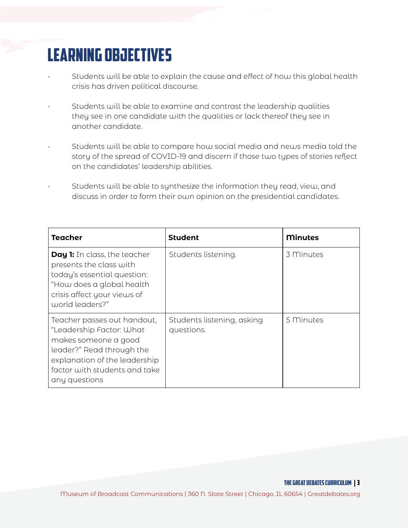# LEARNING OBJECTIVES

- Students will be able to explain the cause and effect of how this global health crisis has driven political discourse.
- Students will be able to examine and contrast the leadership qualities they see in one candidate with the qualities or lack thereof they see in another candidate.
- Students will be able to compare how social media and news media told the story of the spread of COVID-19 and discern if those two types of stories reflect on the candidates' leadership abilities.
- Students will be able to synthesize the information they read, view, and discuss in order to form their own opinion on the presidential candidates.

| <b>Teacher</b>                                                                                                                                                                                  | <b>Student</b>                           | <b>Minutes</b> |
|-------------------------------------------------------------------------------------------------------------------------------------------------------------------------------------------------|------------------------------------------|----------------|
| <b>Day 1:</b> In class, the teacher<br>presents the class with<br>today's essential question:<br>"How does a global health<br>crisis affect your views of<br>world leaders?"                    | Students listening.                      | 3 Minutes      |
| Teacher passes out handout,<br>"Leadership Factor: What<br>makes someone a good<br>leader?" Read through the<br>explanation of the leadership<br>factor with students and take<br>any questions | Students listening, asking<br>questions. | 5 Minutes      |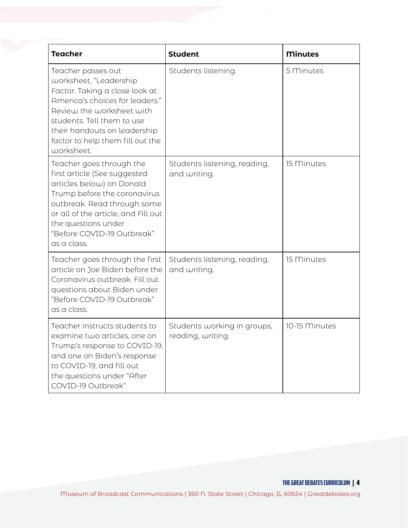| <b>Teacher</b>                                                                                                                                                                                                                                                  | <b>Student</b>                                   | <b>Minutes</b> |
|-----------------------------------------------------------------------------------------------------------------------------------------------------------------------------------------------------------------------------------------------------------------|--------------------------------------------------|----------------|
| Teacher passes out<br>worksheet, "Leadership<br>Factor: Taking a close look at<br>America's choices for leaders."<br>Review the worksheet with<br>students. Tell them to use<br>their handouts on leadership<br>factor to help them fill out the<br>worksheet.  | Students listening.                              | 5 Minutes      |
| Teacher goes through the<br>first article (See suggested<br>articles below) on Donald<br>Trump before the coronavirus<br>outbreak. Read through some<br>or all of the article, and Fill out<br>the questions under<br>"Before COVID-19 Outbreak"<br>as a class. | Students listening, reading,<br>and writing.     | 15 Minutes     |
| Teacher goes through the first<br>article on Joe Biden before the<br>Coronavirus outbreak. Fill out<br>questions about Biden under<br>"Before COVID-19 Outbreak"<br>as a class.                                                                                 | Students listening, reading,<br>and writing.     | 15 Minutes     |
| Teacher instructs students to<br>examine two articles, one on<br>Trump's response to COVID-19,<br>and one on Biden's response<br>to COVID-19, and fill out<br>the questions under "After<br>COVID-19 Outbreak"                                                  | Students working in groups,<br>reading, writing. | 10-15 Minutes  |

THE GREAT DEBATES curriculum | 4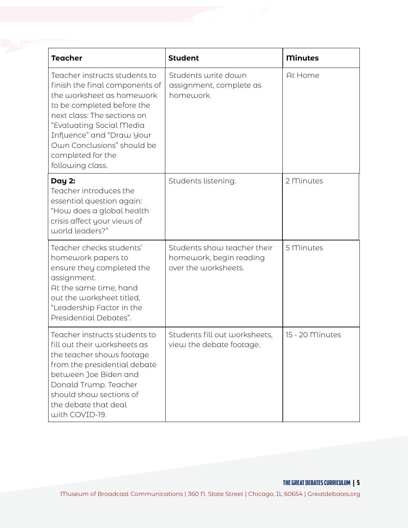| <b>Teacher</b>                                                                                                                                                                                                                                                                            | <b>Student</b>                                                                 | <b>Minutes</b>  |
|-------------------------------------------------------------------------------------------------------------------------------------------------------------------------------------------------------------------------------------------------------------------------------------------|--------------------------------------------------------------------------------|-----------------|
| Teacher instructs students to<br>finish the final components of<br>the worksheet as homework<br>to be completed before the<br>next class: The sections on<br>"Evaluating Social Media<br>Influence" and "Draw Your<br>Own Conclusions" should be<br>completed for the<br>following class. | Students write down<br>assignment, complete as<br>homework.                    | At Home         |
| Day 2:<br>Teacher introduces the<br>essential question again:<br>"How does a global health<br>crisis affect your views of<br>world leaders?"                                                                                                                                              | Students listening.                                                            | 2 Minutes       |
| Teacher checks students'<br>homework papers to<br>ensure they completed the<br>assignment.<br>At the same time, hand<br>out the worksheet titled,<br>"Leadership Factor in the<br>Presidential Debates".                                                                                  | Students show teacher their<br>homework, begin reading<br>over the worksheets. | 5 Minutes       |
| Teacher instructs students to<br>fill out their worksheets as<br>the teacher shows footage<br>from the presidential debate<br>between Joe Biden and<br>Donald Trump. Teacher<br>should show sections of<br>the debate that deal<br>with COVID-19.                                         | Students fill out worksheets,<br>view the debate footage.                      | 15 - 20 Minutes |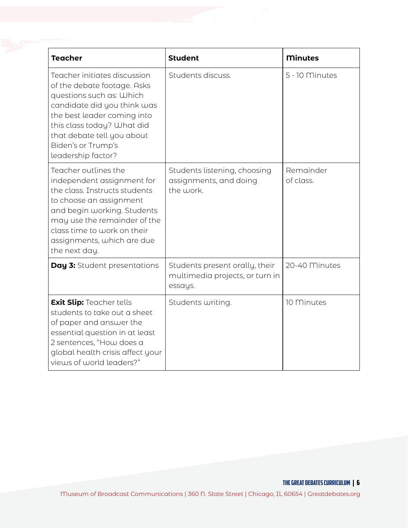| <b>Teacher</b>                                                                                                                                                                                                                                                | <b>Student</b>                                                               | <b>Minutes</b>         |
|---------------------------------------------------------------------------------------------------------------------------------------------------------------------------------------------------------------------------------------------------------------|------------------------------------------------------------------------------|------------------------|
| Teacher initiates discussion<br>of the debate footage. Asks<br>questions such as: Which<br>candidate did you think was<br>the best leader coming into<br>this class today? What did<br>that debate tell you about<br>Biden's or Trump's<br>leadership factor? | Students discuss.                                                            | 5 - 10 Minutes         |
| Teacher outlines the<br>independent assignment for<br>the class. Instructs students<br>to choose an assignment<br>and begin working. Students<br>may use the remainder of the<br>class time to work on their<br>assignments, which are due<br>the next day.   | Students listening, choosing<br>assignments, and doing<br>the work.          | Remainder<br>of class. |
| Day 3: Student presentations                                                                                                                                                                                                                                  | Students present orally, their<br>multimedia projects, or turn in<br>essays. | 20-40 Minutes          |
| <b>Exit Slip: Teacher tells</b><br>students to take out a sheet<br>of paper and answer the<br>essential question in at least<br>2 sentences, "How does a<br>global health crisis affect your<br>views of world leaders?"                                      | Students writing.                                                            | 10 Minutes             |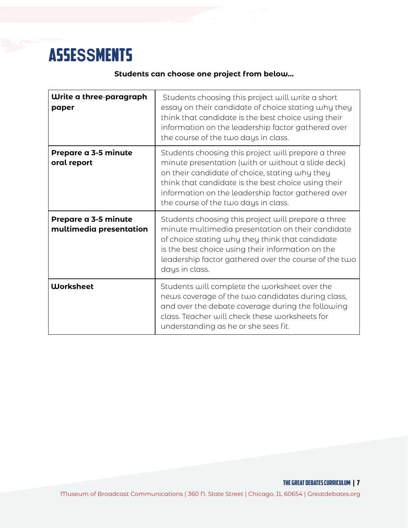# asse**SS**mentS

### **Students can choose one project from below…**

| Write a three-paragraph<br>paper                | Students choosing this project will write a short<br>essay on their candidate of choice stating why they<br>think that candidate is the best choice using their<br>information on the leadership factor gathered over<br>the course of the two days in class.                                                    |
|-------------------------------------------------|------------------------------------------------------------------------------------------------------------------------------------------------------------------------------------------------------------------------------------------------------------------------------------------------------------------|
| Prepare a 3-5 minute<br>oral report             | Students choosing this project will prepare a three<br>minute presentation (with or without a slide deck)<br>on their candidate of choice, stating why they<br>think that candidate is the best choice using their<br>information on the leadership factor gathered over<br>the course of the two days in class. |
| Prepare a 3-5 minute<br>multimedia presentation | Students choosing this project will prepare a three<br>minute multimedia presentation on their candidate<br>of choice stating why they think that candidate<br>is the best choice using their information on the<br>leadership factor gathered over the course of the two<br>days in class.                      |
| <b>Worksheet</b>                                | Students will complete the worksheet over the<br>news coverage of the two candidates during class,<br>and over the debate coverage during the following<br>class. Teacher will check these worksheets for<br>understanding as he or she sees fit.                                                                |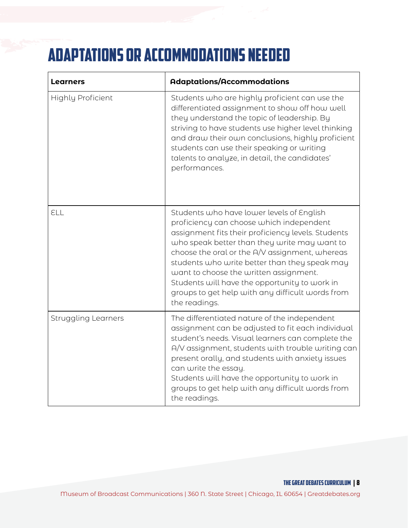# Adaptations or Accommodations needed

| <b>Learners</b>            | <b>Adaptations/Accommodations</b>                                                                                                                                                                                                                                                                                                                                                                                                                              |
|----------------------------|----------------------------------------------------------------------------------------------------------------------------------------------------------------------------------------------------------------------------------------------------------------------------------------------------------------------------------------------------------------------------------------------------------------------------------------------------------------|
| <b>Highly Proficient</b>   | Students who are highly proficient can use the<br>differentiated assignment to show off how well<br>they understand the topic of leadership. By<br>striving to have students use higher level thinking<br>and draw their own conclusions, highly proficient<br>students can use their speaking or writing<br>talents to analyze, in detail, the candidates'<br>performances.                                                                                   |
| ELL                        | Students who have lower levels of English<br>proficiency can choose which independent<br>assignment fits their proficiency levels. Students<br>who speak better than they write may want to<br>choose the oral or the A/V assignment, whereas<br>students who write better than they speak may<br>want to choose the written assignment.<br>Students will have the opportunity to work in<br>groups to get help with any difficult words from<br>the readings. |
| <b>Struggling Learners</b> | The differentiated nature of the independent<br>assignment can be adjusted to fit each individual<br>student's needs. Visual learners can complete the<br>A/V assignment, students with trouble writing can<br>present orally, and students with anxiety issues<br>can write the essay.<br>Students will have the opportunity to work in<br>groups to get help with any difficult words from<br>the readings.                                                  |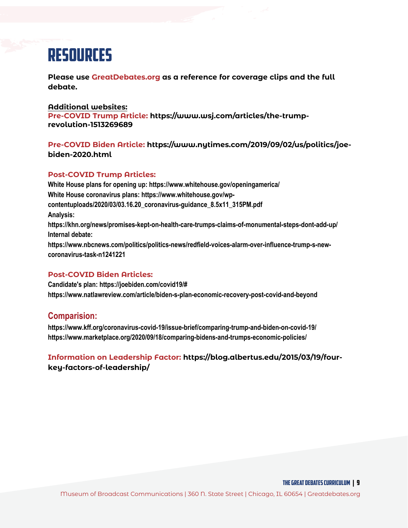## resources

**Please use [GreatDebates.org a](https://www.greatdebates.org)s a reference for coverage clips and the full debate.**

#### **Additional websites:**

**Pre-COVID Trump Article: https://www.wsj.com/articles/the-trumprevolution-1513269689**

#### **Pre-COVID Biden Article: https://www.nytimes.com/2019/09/02/us/politics/joebiden-2020.html**

#### **Post-COVID Trump Articles:**

**White House plans for opening up: https://www.whitehouse.gov/openingamerica/ White House coronavirus plans: https://www.whitehouse.gov/wpcontentuploads/2020/03/03.16.20\_coronavirus-guidance\_8.5x11\_315PM.pdf Analysis: https://khn.org/news/promises-kept-on-health-care-trumps-claims-of-monumental-steps-dont-add-up/ Internal debate: https://www.nbcnews.com/politics/politics-news/redfield-voices-alarm-over-influence-trump-s-newcoronavirus-task-n1241221**

#### **Post-COVID Biden Articles:**

**Candidate's plan: https://joebiden.com/covid19/# https://www.natlawreview.com/article/biden-s-plan-economic-recovery-post-covid-and-beyond**

### **Comparision:**

**https://www.kff.org/coronavirus-covid-19/issue-brief/comparing-trump-and-biden-on-covid-19/ https://www.marketplace.org/2020/09/18/comparing-bidens-and-trumps-economic-policies/** 

### **Information on Leadership Factor: https://blog.albertus.edu/2015/03/19/fourkey-factors-of-leadership/**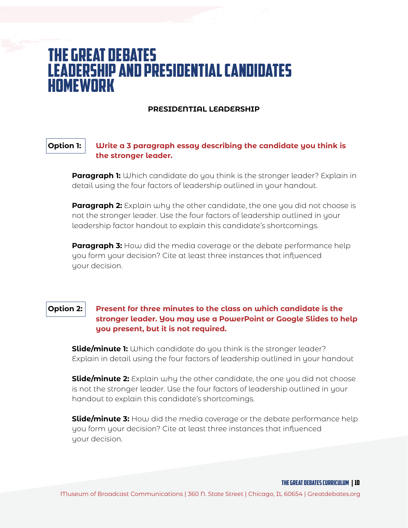### The Great Debates Leadership and presidential candidates homework

#### **PRESIDENTIAL LEADERSHIP**

#### **Option 1: Write a 3 paragraph essay describing the candidate you think is the stronger leader.**

**Paragraph 1:** Which candidate do you think is the stronger leader? Explain in detail using the four factors of leadership outlined in your handout.

**Paragraph 2:** Explain why the other candidate, the one you did not choose is not the stronger leader. Use the four factors of leadership outlined in your leadership factor handout to explain this candidate's shortcomings.

**Paragraph 3:** How did the media coverage or the debate performance help you form your decision? Cite at least three instances that influenced uour decision.

#### **Option 2: Present for three minutes to the class on which candidate is the stronger leader. You may use a PowerPoint or Google Slides to help you present, but it is not required.**

**Slide/minute 1:** Which candidate do you think is the stronger leader? Explain in detail using the four factors of leadership outlined in your handout

**Slide/minute 2:** Explain why the other candidate, the one you did not choose is not the stronger leader. Use the four factors of leadership outlined in your handout to explain this candidate's shortcomings.

**Slide/minute 3:** How did the media coverage or the debate performance help you form your decision? Cite at least three instances that influenced your decision.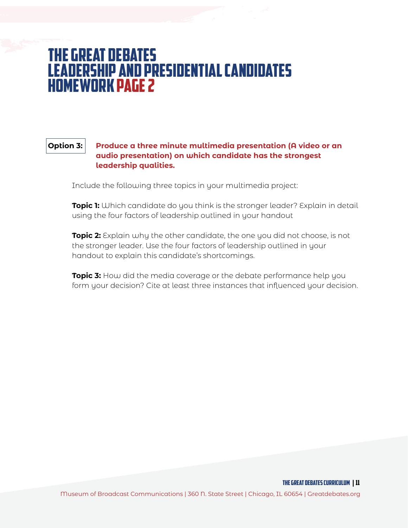### The Great Debates Leadership and presidential candidates homework page 2

**Option 3: Produce a three minute multimedia presentation (A video or an audio presentation) on which candidate has the strongest leadership qualities.** 

Include the following three topics in your multimedia project:

**Topic 1:** Which candidate do you think is the stronger leader? Explain in detail using the four factors of leadership outlined in your handout

**Topic 2:** Explain why the other candidate, the one you did not choose, is not the stronger leader. Use the four factors of leadership outlined in your handout to explain this candidate's shortcomings.

**Topic 3:** How did the media coverage or the debate performance help you form your decision? Cite at least three instances that influenced your decision.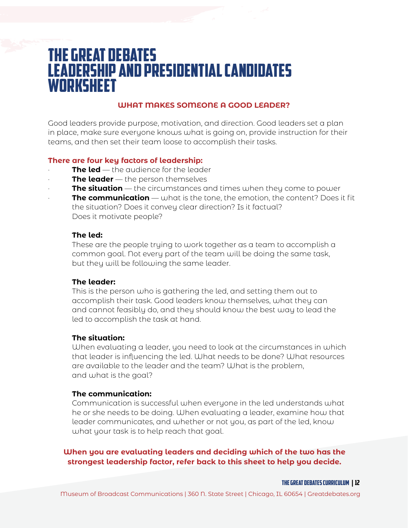### The Great Debates Leadership and presidential candidates **WORKSHEET**

### **WHAT MAKES SOMEONE A GOOD LEADER?**

Good leaders provide purpose, motivation, and direction. Good leaders set a plan in place, make sure everyone knows what is going on, provide instruction for their teams, and then set their team loose to accomplish their tasks.

#### **There are four key factors of leadership:**

- **The led** the audience for the leader
- **The leader** the person themselves
- **The situation** the circumstances and times when they come to power
- · **The communication** what is the tone, the emotion, the content? Does it fit the situation? Does it convey clear direction? Is it factual? Does it motivate people?

#### **The led:**

These are the people trying to work together as a team to accomplish a common goal. Not every part of the team will be doing the same task, but they will be following the same leader.

#### **The leader:**

This is the person who is gathering the led, and setting them out to accomplish their task. Good leaders know themselves, what they can and cannot feasibly do, and they should know the best way to lead the led to accomplish the task at hand.

#### **The situation:**

When evaluating a leader, you need to look at the circumstances in which that leader is influencing the led. What needs to be done? What resources are available to the leader and the team? What is the problem, and what is the goal?

#### **The communication:**

Communication is successful when everyone in the led understands what he or she needs to be doing. When evaluating a leader, examine how that leader communicates, and whether or not you, as part of the led, know what your task is to help reach that goal.

#### **When you are evaluating leaders and deciding which of the two has the strongest leadership factor, refer back to this sheet to help you decide.**